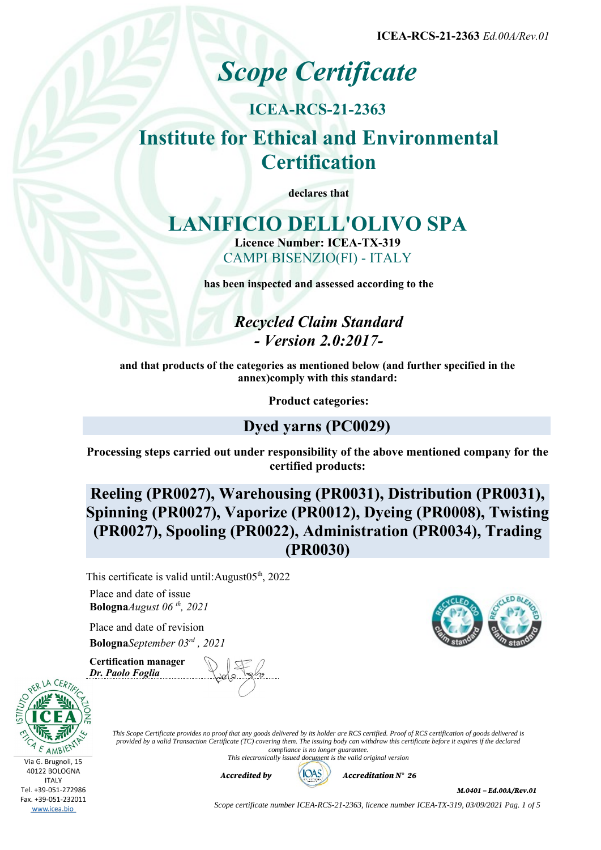**ICEA-RCS-21-2363** *Ed.00A/Rev.01*

# *Scope Certificate*

## **ICEA-RCS-21-2363**

## **Institute for Ethical and Environmental Certification**

**declares that**

## **LANIFICIO DELL'OLIVO SPA Licence Number: ICEA-TX-319** CAMPI BISENZIO(FI) - ITALY

**has been inspected and assessed according to the**

*Recycled Claim Standard - Version 2.0:2017-*

**and that products of the categories as mentioned below (and further specified in the annex)comply with this standard:**

**Product categories:**

## **Dyed yarns (PC0029)**

**Processing steps carried out under responsibility of the above mentioned company for the certified products:**

**Reeling (PR0027), Warehousing (PR0031), Distribution (PR0031), Spinning (PR0027), Vaporize (PR0012), Dyeing (PR0008), Twisting (PR0027), Spooling (PR0022), Administration (PR0034), Trading (PR0030)**

This certificate is valid until: August $05<sup>th</sup>$ , 2022

Place and date of issue **Bologna***August 06 th, 2021*

Place and date of revision **Bologna***September 03rd , 2021*

**Certification manager** *Dr. Paolo Foglia*

Via G. Brugnoli, 15 40122 BOLOGNA **ITALY** Tel. +39-051-272986

Fax. +39-051-232011 www.icea.bio

*This Scope Certificate provides no proof that any goods delivered by its holder are RCS certified. Proof of RCS certification of goods delivered is provided by a valid Transaction Certificate (TC) covering them. The issuing body can withdraw this certificate before it expires if the declared compliance is no longer guarantee. This electronically issued document is the valid original version*



*M.0401 – Ed.00A/Rev.01*

*Scope certificate number ICEA-RCS-21-2363, licence number ICEA-TX-319, 03/09/2021 Pag. 1 of 5*

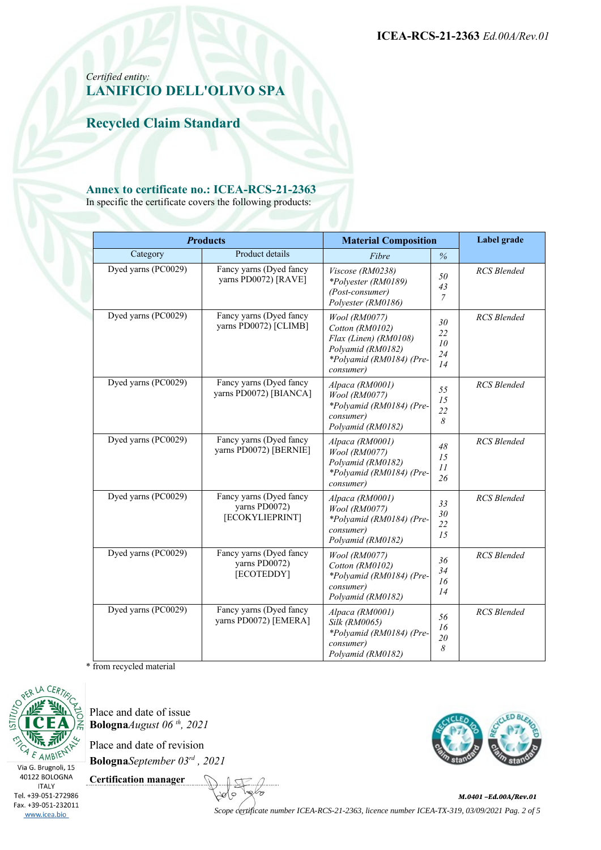**ICEA-RCS-21-2363** *Ed.00A/Rev.01*

#### *Certified entity:* **LANIFICIO DELL'OLIVO SPA**

**Recycled Claim Standard**

#### **Annex to certificate no.: ICEA-RCS-21-2363**

In specific the certificate covers the following products:

| <b>Products</b>     |                                                             | <b>Material Composition</b>                                                                                             |                                | Label grade        |
|---------------------|-------------------------------------------------------------|-------------------------------------------------------------------------------------------------------------------------|--------------------------------|--------------------|
| Category            | Product details                                             | Fibre                                                                                                                   | $\frac{6}{6}$                  |                    |
| Dyed yarns (PC0029) | Fancy yarns (Dyed fancy<br>yarns PD0072) [RAVE]             | Viscose (RM0238)<br>*Polyester (RM0189)<br>(Post-consumer)<br>Polyester (RM0186)                                        | 50<br>43<br>$\overline{7}$     | <b>RCS</b> Blended |
| Dyed yarns (PC0029) | Fancy yarns (Dyed fancy<br>yarns PD0072) [CLIMB]            | Wool (RM0077)<br>Cotton (RM0102)<br>Flax (Linen) (RM0108)<br>Polyamid (RM0182)<br>*Polyamid (RM0184) (Pre-<br>consumer) | 30<br>22<br>10<br>24<br>14     | <b>RCS</b> Blended |
| Dyed yarns (PC0029) | Fancy yarns (Dyed fancy<br>yarns PD0072) [BIANCA]           | Alpaca (RM0001)<br>Wool (RM0077)<br>*Polyamid (RM0184) (Pre-<br>consumer)<br>Polyamid (RM0182)                          | 55<br>15<br>22<br>8            | <b>RCS</b> Blended |
| Dyed yarns (PC0029) | Fancy yarns (Dyed fancy<br>yarns PD0072) [BERNIE]           | Alpaca (RM0001)<br>Wool (RM0077)<br>Polyamid (RM0182)<br>*Polyamid (RM0184) (Pre-<br>consumer)                          | 48<br>15<br>11<br>26           | <b>RCS</b> Blended |
| Dyed yarns (PC0029) | Fancy yarns (Dyed fancy<br>yarns PD0072)<br>[ECOKYLIEPRINT] | Alpaca (RM0001)<br>Wool (RM0077)<br>*Polyamid (RM0184) (Pre-<br>consumer)<br>Polyamid (RM0182)                          | 33<br>30<br>22<br>15           | <b>RCS</b> Blended |
| Dyed yarns (PC0029) | Fancy yarns (Dyed fancy<br>yarns PD0072)<br>[ECOTEDDY]      | <i>Wool</i> ( <i>RM0077</i> )<br>Cotton (RM0102)<br>*Polyamid (RM0184) (Pre-<br>consumer)<br>Polyamid (RM0182)          | 36<br>34<br>16<br>14           | <b>RCS</b> Blended |
| Dyed yarns (PC0029) | Fancy yarns (Dyed fancy<br>yarns PD0072) [EMERA]            | Alpaca (RM0001)<br>Silk (RM0065)<br>*Polyamid (RM0184) (Pre-<br>consumer)<br>Polyamid (RM0182)                          | 56<br>16<br>$2\mathit{0}$<br>8 | <b>RCS</b> Blended |

\* from recycled material



Place and date of issue **Bologna***August 06 th, 2021*

Place and date of revision

**Bologna***September 03rd , 2021*

**Certification manager**



∕≈ *M.0401 –Ed.00A/Rev.01 Scope certificate number ICEA-RCS-21-2363, licence number ICEA-TX-319, 03/09/2021 Pag. 2 of 5*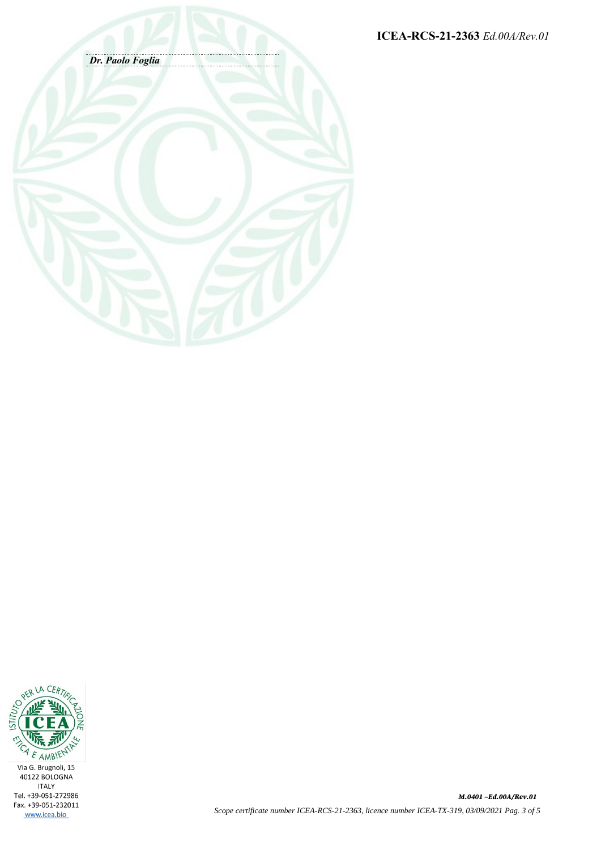**ICEA-RCS-21-2363** *Ed.00A/Rev.01*





*M.0401 –Ed.00A/Rev.01 Scope certificate number ICEA-RCS-21-2363, licence number ICEA-TX-319, 03/09/2021 Pag. 3 of 5*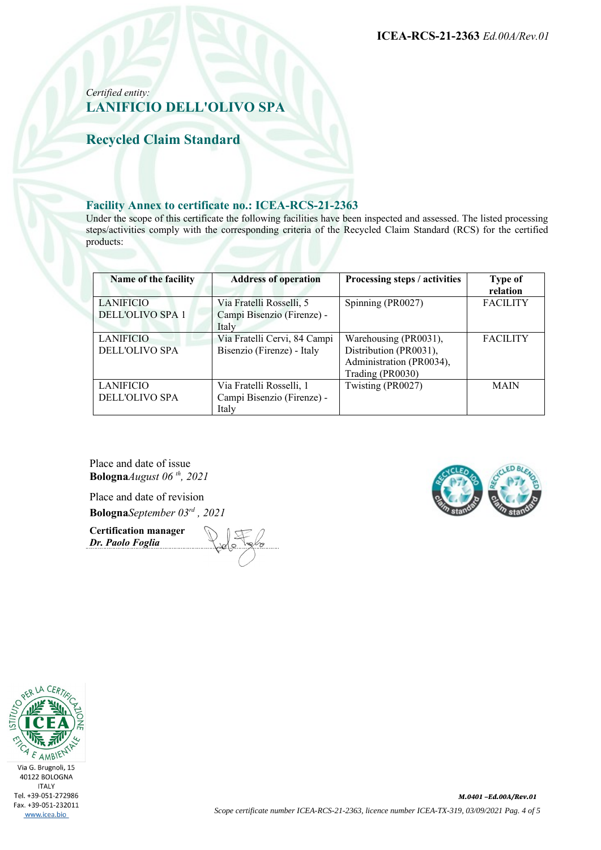*Certified entity:* **LANIFICIO DELL'OLIVO SPA**

**Recycled Claim Standard**

#### **Facility Annex to certificate no.: ICEA-RCS-21-2363**

Under the scope of this certificate the following facilities have been inspected and assessed. The listed processing steps/activities comply with the corresponding criteria of the Recycled Claim Standard (RCS) for the certified products:

| Name of the facility                      | <b>Address of operation</b>                                     | Processing steps / activities                                                                   | <b>Type of</b><br>relation |
|-------------------------------------------|-----------------------------------------------------------------|-------------------------------------------------------------------------------------------------|----------------------------|
| LANIFICIO<br><b>DELL'OLIVO SPA 1</b>      | Via Fratelli Rosselli, 5<br>Campi Bisenzio (Firenze) -<br>Italy | Spinning (PR0027)                                                                               | <b>FACILITY</b>            |
| <b>LANIFICIO</b><br><b>DELL'OLIVO SPA</b> | Via Fratelli Cervi, 84 Campi<br>Bisenzio (Firenze) - Italy      | Warehousing (PR0031),<br>Distribution (PR0031),<br>Administration (PR0034),<br>Trading (PR0030) | <b>FACILITY</b>            |
| <b>LANIFICIO</b><br>DELL'OLIVO SPA        | Via Fratelli Rosselli, 1<br>Campi Bisenzio (Firenze) -<br>Italy | Twisting (PR0027)                                                                               | <b>MAIN</b>                |

Place and date of issue **Bologna***August 06 th, 2021*

Place and date of revision **Bologna***September 03rd , 2021*

**Certification manager** *Dr. Paolo Foglia*